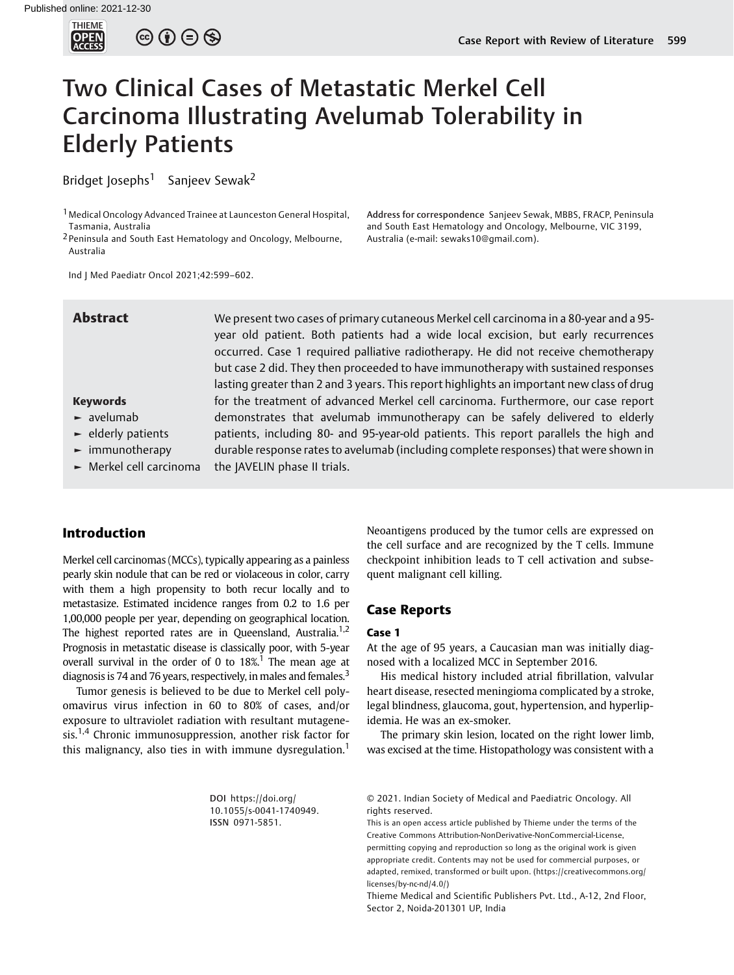

 $\circledcirc$   $\oplus$   $\circledcirc$ 

# Two Clinical Cases of Metastatic Merkel Cell Carcinoma Illustrating Avelumab Tolerability in Elderly Patients

Bridget Josephs<sup>1</sup> Sanjeev Sewak<sup>2</sup>

1Medical Oncology Advanced Trainee at Launceston General Hospital, Tasmania, Australia

<sup>2</sup> Peninsula and South East Hematology and Oncology, Melbourne, Australia

Address for correspondence Sanjeev Sewak, MBBS, FRACP, Peninsula and South East Hematology and Oncology, Melbourne, VIC 3199, Australia (e-mail: [sewaks10@gmail.com](mailto:sewaks10@gmail.com)).

Ind J Med Paediatr Oncol 2021;42:599–602.

Abstract We present two cases of primary cutaneous Merkel cell carcinoma in a 80-year and a 95year old patient. Both patients had a wide local excision, but early recurrences occurred. Case 1 required palliative radiotherapy. He did not receive chemotherapy but case 2 did. They then proceeded to have immunotherapy with sustained responses lasting greater than 2 and 3 years. This report highlights an important new class of drug for the treatment of advanced Merkel cell carcinoma. Furthermore, our case report demonstrates that avelumab immunotherapy can be safely delivered to elderly patients, including 80- and 95-year-old patients. This report parallels the high and durable response rates to avelumab (including complete responses) that were shown in the JAVELIN phase II trials.

# Keywords

- ► avelumab
- ► elderly patients
- ► immunotherapy
- ► Merkel cell carcinoma

# Introduction

Merkel cell carcinomas (MCCs), typically appearing as a painless pearly skin nodule that can be red or violaceous in color, carry with them a high propensity to both recur locally and to metastasize. Estimated incidence ranges from 0.2 to 1.6 per 1,00,000 people per year, depending on geographical location. The highest reported rates are in Queensland, Australia.<sup>1,2</sup> Prognosis in metastatic disease is classically poor, with 5-year overall survival in the order of 0 to  $18\%$ <sup>1</sup>. The mean age at diagnosis is 74 and 76 years, respectively, in males and females.<sup>3</sup>

Tumor genesis is believed to be due to Merkel cell polyomavirus virus infection in 60 to 80% of cases, and/or exposure to ultraviolet radiation with resultant mutagenesis.1,4 Chronic immunosuppression, another risk factor for this malignancy, also ties in with immune dysregulation.<sup>1</sup>

> DOI [https://doi.org/](https://doi.org/10.1055/s-0041-1740949) [10.1055/s-0041-1740949](https://doi.org/10.1055/s-0041-1740949). ISSN 0971-5851.

Neoantigens produced by the tumor cells are expressed on the cell surface and are recognized by the T cells. Immune checkpoint inhibition leads to T cell activation and subsequent malignant cell killing.

## Case Reports

# Case 1

At the age of 95 years, a Caucasian man was initially diagnosed with a localized MCC in September 2016.

His medical history included atrial fibrillation, valvular heart disease, resected meningioma complicated by a stroke, legal blindness, glaucoma, gout, hypertension, and hyperlipidemia. He was an ex-smoker.

The primary skin lesion, located on the right lower limb, was excised at the time. Histopathology was consistent with a

© 2021. Indian Society of Medical and Paediatric Oncology. All rights reserved.

This is an open access article published by Thieme under the terms of the Creative Commons Attribution-NonDerivative-NonCommercial-License, permitting copying and reproduction so long as the original work is given appropriate credit. Contents may not be used for commercial purposes, or adapted, remixed, transformed or built upon. (https://creativecommons.org/ licenses/by-nc-nd/4.0/)

Thieme Medical and Scientific Publishers Pvt. Ltd., A-12, 2nd Floor, Sector 2, Noida-201301 UP, India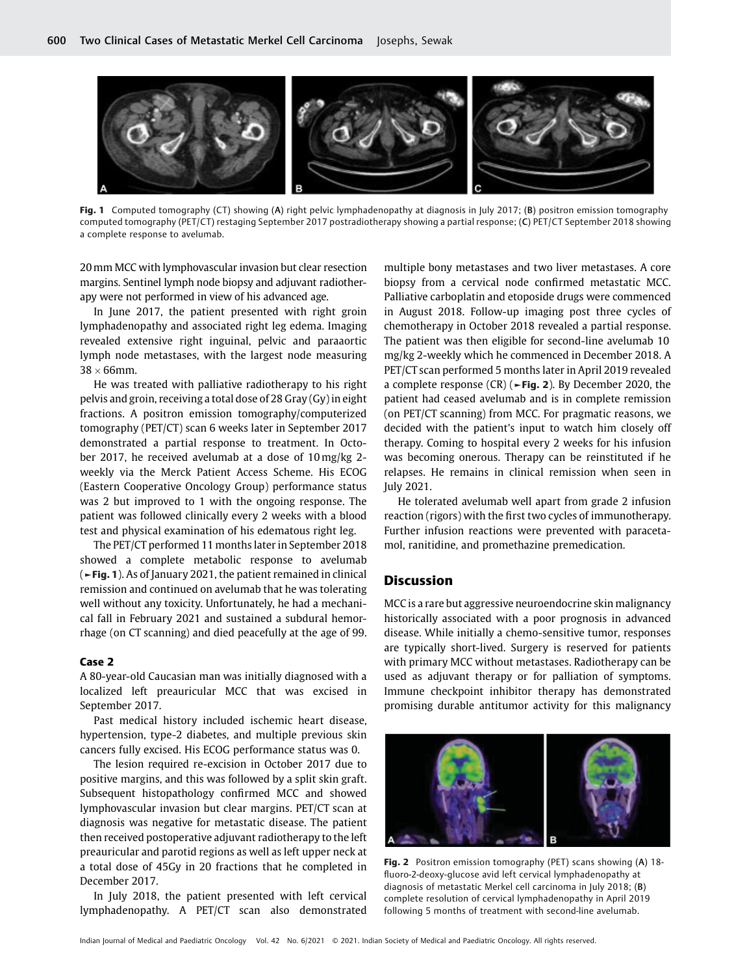

Fig. 1 Computed tomography (CT) showing (A) right pelvic lymphadenopathy at diagnosis in July 2017; (B) positron emission tomography computed tomography (PET/CT) restaging September 2017 postradiotherapy showing a partial response; (C) PET/CT September 2018 showing a complete response to avelumab.

20mm MCC with lymphovascular invasion but clear resection margins. Sentinel lymph node biopsy and adjuvant radiotherapy were not performed in view of his advanced age.

In June 2017, the patient presented with right groin lymphadenopathy and associated right leg edema. Imaging revealed extensive right inguinal, pelvic and paraaortic lymph node metastases, with the largest node measuring  $38 \times 66$ mm.

He was treated with palliative radiotherapy to his right pelvis and groin, receiving a total dose of 28 Gray (Gy) in eight fractions. A positron emission tomography/computerized tomography (PET/CT) scan 6 weeks later in September 2017 demonstrated a partial response to treatment. In October 2017, he received avelumab at a dose of 10 mg/kg 2 weekly via the Merck Patient Access Scheme. His ECOG (Eastern Cooperative Oncology Group) performance status was 2 but improved to 1 with the ongoing response. The patient was followed clinically every 2 weeks with a blood test and physical examination of his edematous right leg.

The PET/CT performed 11 months later in September 2018 showed a complete metabolic response to avelumab (►Fig. 1). As of January 2021, the patient remained in clinical remission and continued on avelumab that he was tolerating well without any toxicity. Unfortunately, he had a mechanical fall in February 2021 and sustained a subdural hemorrhage (on CT scanning) and died peacefully at the age of 99.

### Case 2

A 80-year-old Caucasian man was initially diagnosed with a localized left preauricular MCC that was excised in September 2017.

Past medical history included ischemic heart disease, hypertension, type-2 diabetes, and multiple previous skin cancers fully excised. His ECOG performance status was 0.

The lesion required re-excision in October 2017 due to positive margins, and this was followed by a split skin graft. Subsequent histopathology confirmed MCC and showed lymphovascular invasion but clear margins. PET/CT scan at diagnosis was negative for metastatic disease. The patient then received postoperative adjuvant radiotherapy to the left preauricular and parotid regions as well as left upper neck at a total dose of 45Gy in 20 fractions that he completed in December 2017.

In July 2018, the patient presented with left cervical lymphadenopathy. A PET/CT scan also demonstrated

multiple bony metastases and two liver metastases. A core biopsy from a cervical node confirmed metastatic MCC. Palliative carboplatin and etoposide drugs were commenced in August 2018. Follow-up imaging post three cycles of chemotherapy in October 2018 revealed a partial response. The patient was then eligible for second-line avelumab 10 mg/kg 2-weekly which he commenced in December 2018. A PET/CT scan performed 5 months later in April 2019 revealed a complete response (CR) ( $\blacktriangleright$ Fig. 2). By December 2020, the patient had ceased avelumab and is in complete remission (on PET/CT scanning) from MCC. For pragmatic reasons, we decided with the patient's input to watch him closely off therapy. Coming to hospital every 2 weeks for his infusion was becoming onerous. Therapy can be reinstituted if he relapses. He remains in clinical remission when seen in July 2021.

He tolerated avelumab well apart from grade 2 infusion reaction (rigors) with the first two cycles of immunotherapy. Further infusion reactions were prevented with paracetamol, ranitidine, and promethazine premedication.

# **Discussion**

MCC is a rare but aggressive neuroendocrine skin malignancy historically associated with a poor prognosis in advanced disease. While initially a chemo-sensitive tumor, responses are typically short-lived. Surgery is reserved for patients with primary MCC without metastases. Radiotherapy can be used as adjuvant therapy or for palliation of symptoms. Immune checkpoint inhibitor therapy has demonstrated promising durable antitumor activity for this malignancy



Fig. 2 Positron emission tomography (PET) scans showing (A) 18fluoro-2-deoxy-glucose avid left cervical lymphadenopathy at diagnosis of metastatic Merkel cell carcinoma in July 2018; (B) complete resolution of cervical lymphadenopathy in April 2019 following 5 months of treatment with second-line avelumab.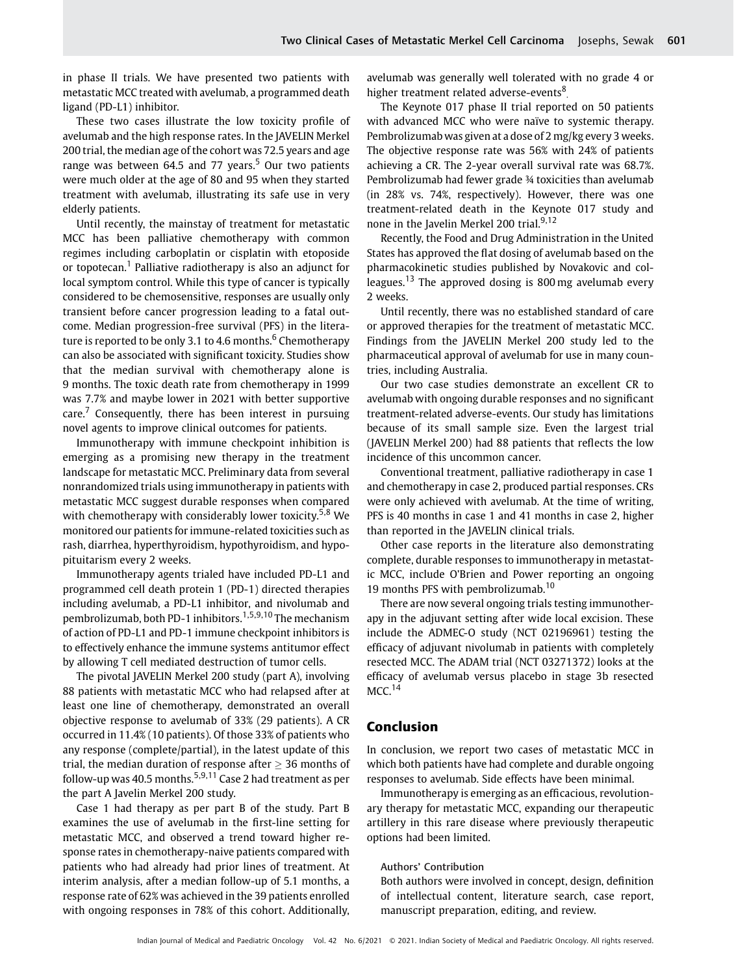in phase II trials. We have presented two patients with metastatic MCC treated with avelumab, a programmed death ligand (PD-L1) inhibitor.

These two cases illustrate the low toxicity profile of avelumab and the high response rates. In the JAVELIN Merkel 200 trial, the median age of the cohort was 72.5 years and age range was between 64.5 and 77 years.<sup>5</sup> Our two patients were much older at the age of 80 and 95 when they started treatment with avelumab, illustrating its safe use in very elderly patients.

Until recently, the mainstay of treatment for metastatic MCC has been palliative chemotherapy with common regimes including carboplatin or cisplatin with etoposide or topotecan.<sup>1</sup> Palliative radiotherapy is also an adjunct for local symptom control. While this type of cancer is typically considered to be chemosensitive, responses are usually only transient before cancer progression leading to a fatal outcome. Median progression-free survival (PFS) in the literature is reported to be only 3.1 to 4.6 months.<sup>6</sup> Chemotherapy can also be associated with significant toxicity. Studies show that the median survival with chemotherapy alone is 9 months. The toxic death rate from chemotherapy in 1999 was 7.7% and maybe lower in 2021 with better supportive  $care<sup>7</sup>$  Consequently, there has been interest in pursuing novel agents to improve clinical outcomes for patients.

Immunotherapy with immune checkpoint inhibition is emerging as a promising new therapy in the treatment landscape for metastatic MCC. Preliminary data from several nonrandomized trials using immunotherapy in patients with metastatic MCC suggest durable responses when compared with chemotherapy with considerably lower toxicity.<sup>5,8</sup> We monitored our patients for immune-related toxicities such as rash, diarrhea, hyperthyroidism, hypothyroidism, and hypopituitarism every 2 weeks.

Immunotherapy agents trialed have included PD-L1 and programmed cell death protein 1 (PD-1) directed therapies including avelumab, a PD-L1 inhibitor, and nivolumab and pembrolizumab, both PD-1 inhibitors.1,5,9,10 The mechanism of action of PD-L1 and PD-1 immune checkpoint inhibitors is to effectively enhance the immune systems antitumor effect by allowing T cell mediated destruction of tumor cells.

The pivotal JAVELIN Merkel 200 study (part A), involving 88 patients with metastatic MCC who had relapsed after at least one line of chemotherapy, demonstrated an overall objective response to avelumab of 33% (29 patients). A CR occurred in 11.4% (10 patients). Of those 33% of patients who any response (complete/partial), in the latest update of this trial, the median duration of response after  $>$  36 months of follow-up was 40.5 months.<sup>5,9,11</sup> Case 2 had treatment as per the part A Javelin Merkel 200 study.

Case 1 had therapy as per part B of the study. Part B examines the use of avelumab in the first-line setting for metastatic MCC, and observed a trend toward higher response rates in chemotherapy-naive patients compared with patients who had already had prior lines of treatment. At interim analysis, after a median follow-up of 5.1 months, a response rate of 62% was achieved in the 39 patients enrolled with ongoing responses in 78% of this cohort. Additionally, avelumab was generally well tolerated with no grade 4 or higher treatment related adverse-events<sup>8</sup>

The Keynote 017 phase II trial reported on 50 patients with advanced MCC who were naïve to systemic therapy. Pembrolizumab was given at a dose of 2 mg/kg every 3 weeks. The objective response rate was 56% with 24% of patients achieving a CR. The 2-year overall survival rate was 68.7%. Pembrolizumab had fewer grade ¾ toxicities than avelumab (in 28% vs. 74%, respectively). However, there was one treatment-related death in the Keynote 017 study and none in the Javelin Merkel 200 trial.<sup>9,12</sup>

Recently, the Food and Drug Administration in the United States has approved the flat dosing of avelumab based on the pharmacokinetic studies published by Novakovic and colleagues.<sup>13</sup> The approved dosing is 800 mg avelumab every 2 weeks.

Until recently, there was no established standard of care or approved therapies for the treatment of metastatic MCC. Findings from the JAVELIN Merkel 200 study led to the pharmaceutical approval of avelumab for use in many countries, including Australia.

Our two case studies demonstrate an excellent CR to avelumab with ongoing durable responses and no significant treatment-related adverse-events. Our study has limitations because of its small sample size. Even the largest trial (JAVELIN Merkel 200) had 88 patients that reflects the low incidence of this uncommon cancer.

Conventional treatment, palliative radiotherapy in case 1 and chemotherapy in case 2, produced partial responses. CRs were only achieved with avelumab. At the time of writing, PFS is 40 months in case 1 and 41 months in case 2, higher than reported in the JAVELIN clinical trials.

Other case reports in the literature also demonstrating complete, durable responses to immunotherapy in metastatic MCC, include O'Brien and Power reporting an ongoing 19 months PFS with pembrolizumab. $10$ 

There are now several ongoing trials testing immunotherapy in the adjuvant setting after wide local excision. These include the ADMEC-O study (NCT 02196961) testing the efficacy of adjuvant nivolumab in patients with completely resected MCC. The ADAM trial (NCT 03271372) looks at the efficacy of avelumab versus placebo in stage 3b resected  $MCC.<sup>14</sup>$ 

# Conclusion

In conclusion, we report two cases of metastatic MCC in which both patients have had complete and durable ongoing responses to avelumab. Side effects have been minimal.

Immunotherapy is emerging as an efficacious, revolutionary therapy for metastatic MCC, expanding our therapeutic artillery in this rare disease where previously therapeutic options had been limited.

#### Authors' Contribution

Both authors were involved in concept, design, definition of intellectual content, literature search, case report, manuscript preparation, editing, and review.